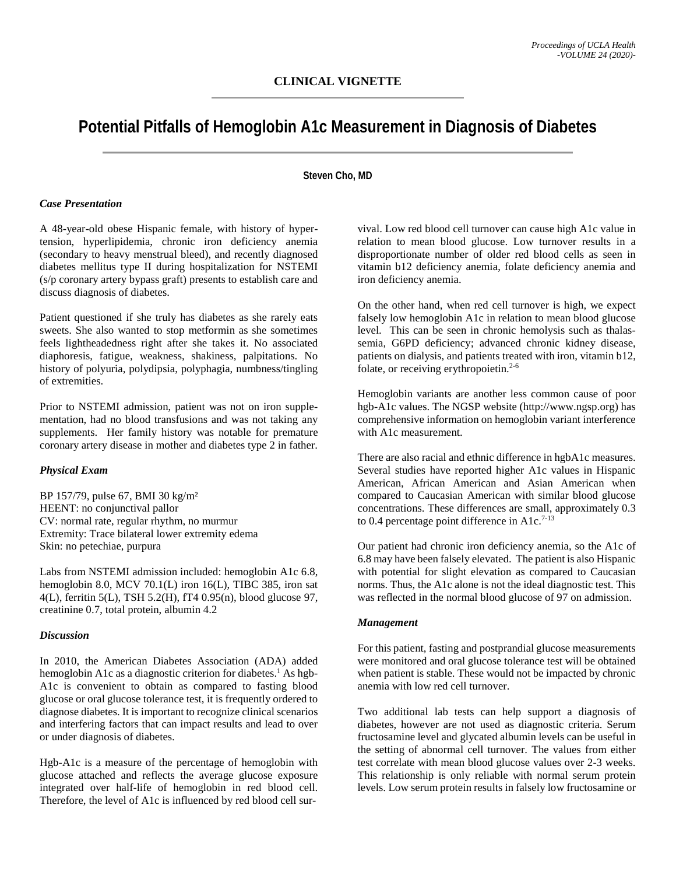# **Potential Pitfalls of Hemoglobin A1c Measurement in Diagnosis of Diabetes**

## **Steven Cho, MD**

#### *Case Presentation*

A 48-year-old obese Hispanic female, with history of hypertension, hyperlipidemia, chronic iron deficiency anemia (secondary to heavy menstrual bleed), and recently diagnosed diabetes mellitus type II during hospitalization for NSTEMI (s/p coronary artery bypass graft) presents to establish care and discuss diagnosis of diabetes.

Patient questioned if she truly has diabetes as she rarely eats sweets. She also wanted to stop metformin as she sometimes feels lightheadedness right after she takes it. No associated diaphoresis, fatigue, weakness, shakiness, palpitations. No history of polyuria, polydipsia, polyphagia, numbness/tingling of extremities.

Prior to NSTEMI admission, patient was not on iron supplementation, had no blood transfusions and was not taking any supplements. Her family history was notable for premature coronary artery disease in mother and diabetes type 2 in father.

## *Physical Exam*

BP 157/79, pulse 67, BMI 30 kg/m² HEENT: no conjunctival pallor CV: normal rate, regular rhythm, no murmur Extremity: Trace bilateral lower extremity edema Skin: no petechiae, purpura

Labs from NSTEMI admission included: hemoglobin A1c 6.8, hemoglobin 8.0, MCV 70.1(L) iron 16(L), TIBC 385, iron sat 4(L), ferritin 5(L), TSH 5.2(H), fT4 0.95(n), blood glucose 97, creatinine 0.7, total protein, albumin 4.2

## *Discussion*

In 2010, the American Diabetes Association (ADA) added hemoglobin A1c as a diagnostic criterion for diabetes.<sup>1</sup> As hgb-A1c is convenient to obtain as compared to fasting blood glucose or oral glucose tolerance test, it is frequently ordered to diagnose diabetes. It is important to recognize clinical scenarios and interfering factors that can impact results and lead to over or under diagnosis of diabetes.

Hgb-A1c is a measure of the percentage of hemoglobin with glucose attached and reflects the average glucose exposure integrated over half-life of hemoglobin in red blood cell. Therefore, the level of A1c is influenced by red blood cell survival. Low red blood cell turnover can cause high A1c value in relation to mean blood glucose. Low turnover results in a disproportionate number of older red blood cells as seen in vitamin b12 deficiency anemia, folate deficiency anemia and iron deficiency anemia.

On the other hand, when red cell turnover is high, we expect falsely low hemoglobin A1c in relation to mean blood glucose level. This can be seen in chronic hemolysis such as thalassemia, G6PD deficiency; advanced chronic kidney disease, patients on dialysis, and patients treated with iron, vitamin b12, folate, or receiving erythropoietin. $2-6$ 

Hemoglobin variants are another less common cause of poor hgb-A1c values. The NGSP website (http://www.ngsp.org) has comprehensive information on hemoglobin variant interference with A1c measurement.

There are also racial and ethnic difference in hgbA1c measures. Several studies have reported higher A1c values in Hispanic American, African American and Asian American when compared to Caucasian American with similar blood glucose concentrations. These differences are small, approximately 0.3 to 0.4 percentage point difference in A1c.<sup>7-13</sup>

Our patient had chronic iron deficiency anemia, so the A1c of 6.8 may have been falsely elevated. The patient is also Hispanic with potential for slight elevation as compared to Caucasian norms. Thus, the A1c alone is not the ideal diagnostic test. This was reflected in the normal blood glucose of 97 on admission.

#### *Management*

For this patient, fasting and postprandial glucose measurements were monitored and oral glucose tolerance test will be obtained when patient is stable. These would not be impacted by chronic anemia with low red cell turnover.

Two additional lab tests can help support a diagnosis of diabetes, however are not used as diagnostic criteria. Serum fructosamine level and glycated albumin levels can be useful in the setting of abnormal cell turnover. The values from either test correlate with mean blood glucose values over 2-3 weeks. This relationship is only reliable with normal serum protein levels. Low serum protein results in falsely low fructosamine or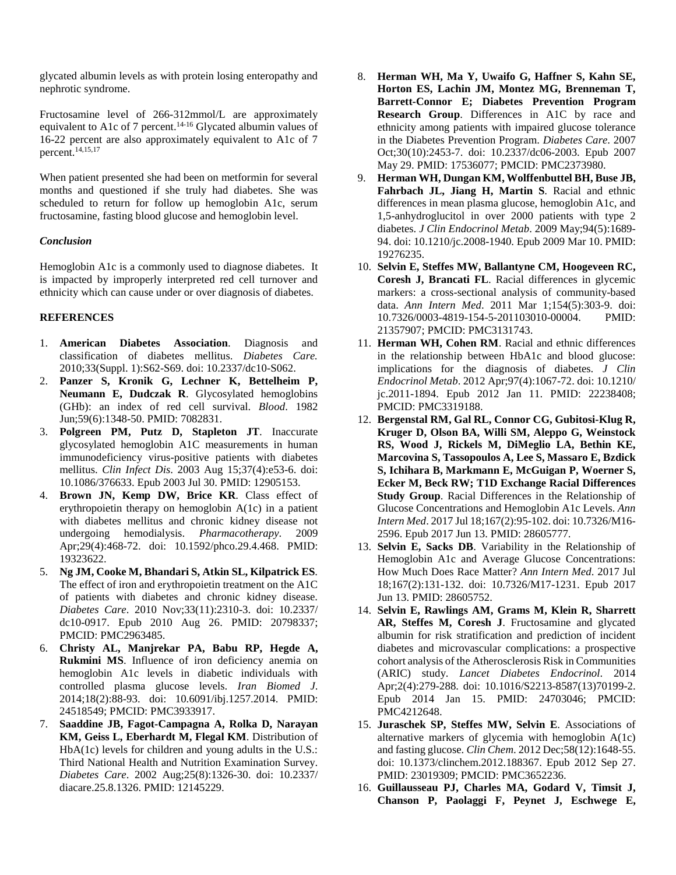glycated albumin levels as with protein losing enteropathy and nephrotic syndrome.

Fructosamine level of 266-312mmol/L are approximately equivalent to A1c of 7 percent.<sup>14-16</sup> Glycated albumin values of 16-22 percent are also approximately equivalent to A1c of 7 percent.14,15,17

When patient presented she had been on metformin for several months and questioned if she truly had diabetes. She was scheduled to return for follow up hemoglobin A1c, serum fructosamine, fasting blood glucose and hemoglobin level.

#### *Conclusion*

Hemoglobin A1c is a commonly used to diagnose diabetes. It is impacted by improperly interpreted red cell turnover and ethnicity which can cause under or over diagnosis of diabetes.

## **REFERENCES**

- 1. **American Diabetes Association**. Diagnosis and classification of diabetes mellitus. *Diabetes Care.* 2010;33(Suppl. 1):S62-S69. doi: 10.2337/dc10-S062.
- 2. **Panzer S, Kronik G, Lechner K, Bettelheim P, Neumann E, Dudczak R**. Glycosylated hemoglobins (GHb): an index of red cell survival. *Blood*. 1982 Jun;59(6):1348-50. PMID: 7082831.
- 3. **Polgreen PM, Putz D, Stapleton JT**. Inaccurate glycosylated hemoglobin A1C measurements in human immunodeficiency virus-positive patients with diabetes mellitus. *Clin Infect Dis*. 2003 Aug 15;37(4):e53-6. doi: 10.1086/376633. Epub 2003 Jul 30. PMID: 12905153.
- 4. **Brown JN, Kemp DW, Brice KR**. Class effect of erythropoietin therapy on hemoglobin A(1c) in a patient with diabetes mellitus and chronic kidney disease not undergoing hemodialysis. *Pharmacotherapy*. 2009 undergoing hemodialysis. *Pharmacotherapy*. Apr;29(4):468-72. doi: 10.1592/phco.29.4.468. PMID: 19323622.
- 5. **Ng JM, Cooke M, Bhandari S, Atkin SL, Kilpatrick ES**. The effect of iron and erythropoietin treatment on the A1C of patients with diabetes and chronic kidney disease. *Diabetes Care*. 2010 Nov;33(11):2310-3. doi: 10.2337/ dc10-0917. Epub 2010 Aug 26. PMID: 20798337; PMCID: PMC2963485.
- 6. **Christy AL, Manjrekar PA, Babu RP, Hegde A, Rukmini MS**. Influence of iron deficiency anemia on hemoglobin A1c levels in diabetic individuals with controlled plasma glucose levels. *Iran Biomed J*. 2014;18(2):88-93. doi: 10.6091/ibj.1257.2014. PMID: 24518549; PMCID: PMC3933917.
- 7. **Saaddine JB, Fagot-Campagna A, Rolka D, Narayan KM, Geiss L, Eberhardt M, Flegal KM**. Distribution of HbA(1c) levels for children and young adults in the U.S.: Third National Health and Nutrition Examination Survey. *Diabetes Care*. 2002 Aug;25(8):1326-30. doi: 10.2337/ diacare.25.8.1326. PMID: 12145229.
- 8. **Herman WH, Ma Y, Uwaifo G, Haffner S, Kahn SE, Horton ES, Lachin JM, Montez MG, Brenneman T, Barrett-Connor E; Diabetes Prevention Program Research Group**. Differences in A1C by race and ethnicity among patients with impaired glucose tolerance in the Diabetes Prevention Program. *Diabetes Care*. 2007 Oct;30(10):2453-7. doi: 10.2337/dc06-2003. Epub 2007 May 29. PMID: 17536077; PMCID: PMC2373980.
- 9. **Herman WH, Dungan KM, Wolffenbuttel BH, Buse JB, Fahrbach JL, Jiang H, Martin S**. Racial and ethnic differences in mean plasma glucose, hemoglobin A1c, and 1,5-anhydroglucitol in over 2000 patients with type 2 diabetes. *J Clin Endocrinol Metab*. 2009 May;94(5):1689- 94. doi: 10.1210/jc.2008-1940. Epub 2009 Mar 10. PMID: 19276235.
- 10. **Selvin E, Steffes MW, Ballantyne CM, Hoogeveen RC, Coresh J, Brancati FL**. Racial differences in glycemic markers: a cross-sectional analysis of community-based data. *Ann Intern Med*. 2011 Mar 1;154(5):303-9. doi: 10.7326/0003-4819-154-5-201103010-00004. PMID: 21357907; PMCID: PMC3131743.
- 11. **Herman WH, Cohen RM**. Racial and ethnic differences in the relationship between HbA1c and blood glucose: implications for the diagnosis of diabetes. *J Clin Endocrinol Metab*. 2012 Apr;97(4):1067-72. doi: 10.1210/ jc.2011-1894. Epub 2012 Jan 11. PMID: 22238408; PMCID: PMC3319188.
- 12. **Bergenstal RM, Gal RL, Connor CG, Gubitosi-Klug R, Kruger D, Olson BA, Willi SM, Aleppo G, Weinstock RS, Wood J, Rickels M, DiMeglio LA, Bethin KE, Marcovina S, Tassopoulos A, Lee S, Massaro E, Bzdick S, Ichihara B, Markmann E, McGuigan P, Woerner S, Ecker M, Beck RW; T1D Exchange Racial Differences Study Group**. Racial Differences in the Relationship of Glucose Concentrations and Hemoglobin A1c Levels. *Ann Intern Med*. 2017 Jul 18;167(2):95-102. doi: 10.7326/M16- 2596. Epub 2017 Jun 13. PMID: 28605777.
- 13. **Selvin E, Sacks DB**. Variability in the Relationship of Hemoglobin A1c and Average Glucose Concentrations: How Much Does Race Matter? *Ann Intern Med*. 2017 Jul 18;167(2):131-132. doi: 10.7326/M17-1231. Epub 2017 Jun 13. PMID: 28605752.
- 14. **Selvin E, Rawlings AM, Grams M, Klein R, Sharrett AR, Steffes M, Coresh J**. Fructosamine and glycated albumin for risk stratification and prediction of incident diabetes and microvascular complications: a prospective cohort analysis of the Atherosclerosis Risk in Communities (ARIC) study. *Lancet Diabetes Endocrinol*. 2014 Apr;2(4):279-288. doi: 10.1016/S2213-8587(13)70199-2. Epub 2014 Jan 15. PMID: 24703046; PMCID: PMC4212648.
- 15. **Juraschek SP, Steffes MW, Selvin E**. Associations of alternative markers of glycemia with hemoglobin A(1c) and fasting glucose. *Clin Chem*. 2012 Dec;58(12):1648-55. doi: 10.1373/clinchem.2012.188367. Epub 2012 Sep 27. PMID: 23019309; PMCID: PMC3652236.
- 16. **Guillausseau PJ, Charles MA, Godard V, Timsit J, Chanson P, Paolaggi F, Peynet J, Eschwege E,**